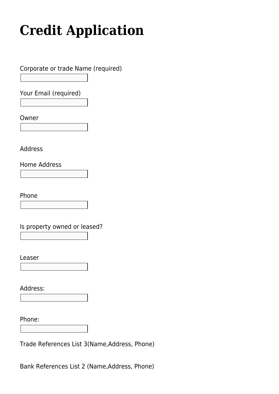## **[Credit Application](https://trichilofoods.com/site/credit-application/)**

Corporate or trade Name (required)

Your Email (required)

Owner

Address

Home Address

Phone

Is property owned or leased?

Leaser

Address:

Phone:

Trade References List 3(Name,Address, Phone)

Bank References List 2 (Name,Address, Phone)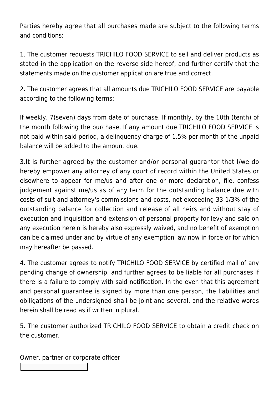Parties hereby agree that all purchases made are subject to the following terms and conditions:

1. The customer requests TRICHILO FOOD SERVICE to sell and deliver products as stated in the application on the reverse side hereof, and further certify that the statements made on the customer application are true and correct.

2. The customer agrees that all amounts due TRICHILO FOOD SERVICE are payable according to the following terms:

If weekly, 7(seven) days from date of purchase. If monthly, by the 10th (tenth) of the month following the purchase. If any amount due TRICHILO FOOD SERVICE is not paid within said period, a delinquency charge of 1.5% per month of the unpaid balance will be added to the amount due.

3.It is further agreed by the customer and/or personal guarantor that I/we do hereby empower any attorney of any court of record within the United States or elsewhere to appear for me/us and after one or more declaration, file, confess judgement against me/us as of any term for the outstanding balance due with costs of suit and attorney's commissions and costs, not exceeding 33 1/3% of the outstanding balance for collection and release of all heirs and without stay of execution and inquisition and extension of personal property for levy and sale on any execution herein is hereby also expressly waived, and no benefit of exemption can be claimed under and by virtue of any exemption law now in force or for which may hereafter be passed.

4. The customer agrees to notify TRICHILO FOOD SERVICE by certified mail of any pending change of ownership, and further agrees to be liable for all purchases if there is a failure to comply with said notification. In the even that this agreement and personal guarantee is signed by more than one person, the liabilities and obiligations of the undersigned shall be joint and several, and the relative words herein shall be read as if written in plural.

5. The customer authorized TRICHILO FOOD SERVICE to obtain a credit check on the customer.

Owner, partner or corporate officer